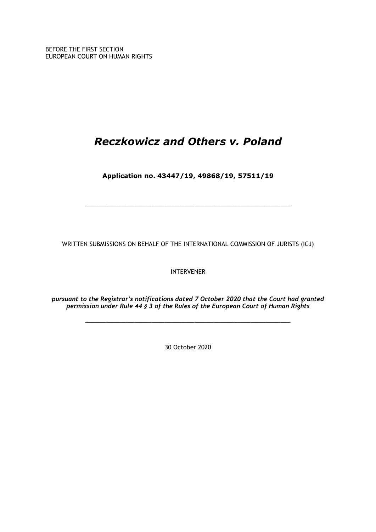# *Reczkowicz and Others v. Poland*

**Application no. 43447/19, 49868/19, 57511/19**

\_\_\_\_\_\_\_\_\_\_\_\_\_\_\_\_\_\_\_\_\_\_\_\_\_\_\_\_\_\_\_\_\_\_\_\_\_\_\_\_\_\_\_\_\_\_\_\_\_\_\_\_\_\_\_\_\_\_\_\_\_\_

WRITTEN SUBMISSIONS ON BEHALF OF THE INTERNATIONAL COMMISSION OF JURISTS (ICJ)

INTERVENER

*pursuant to the Registrar's notifications dated 7 October 2020 that the Court had granted permission under Rule 44 § 3 of the Rules of the European Court of Human Rights*

\_\_\_\_\_\_\_\_\_\_\_\_\_\_\_\_\_\_\_\_\_\_\_\_\_\_\_\_\_\_\_\_\_\_\_\_\_\_\_\_\_\_\_\_\_\_\_\_\_\_\_\_\_\_\_\_\_\_\_\_\_\_

30 October 2020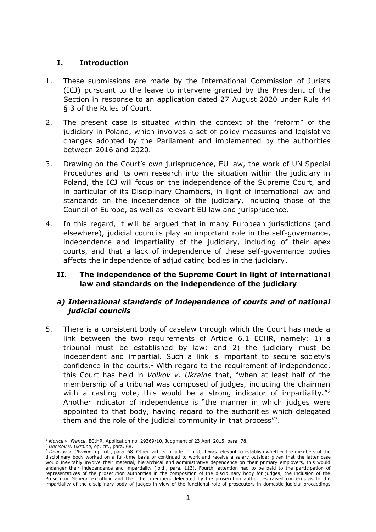## **I. Introduction**

- 1. These submissions are made by the International Commission of Jurists (ICJ) pursuant to the leave to intervene granted by the President of the Section in response to an application dated 27 August 2020 under Rule 44 § 3 of the Rules of Court.
- 2. The present case is situated within the context of the "reform" of the judiciary in Poland, which involves a set of policy measures and legislative changes adopted by the Parliament and implemented by the authorities between 2016 and 2020.
- 3. Drawing on the Court's own jurisprudence, EU law, the work of UN Special Procedures and its own research into the situation within the judiciary in Poland, the ICJ will focus on the independence of the Supreme Court, and in particular of its Disciplinary Chambers, in light of international law and standards on the independence of the judiciary, including those of the Council of Europe, as well as relevant EU law and jurisprudence.
- 4. In this regard, it will be argued that in many European jurisdictions (and elsewhere), judicial councils play an important role in the self-governance, independence and impartiality of the judiciary, including of their apex courts, and that a lack of independence of these self-governance bodies affects the independence of adjudicating bodies in the judiciary.

## **II. The independence of the Supreme Court in light of international law and standards on the independence of the judiciary**

## *a) International standards of independence of courts and of national judicial councils*

5. There is a consistent body of caselaw through which the Court has made a link between the two requirements of Article 6.1 ECHR, namely: 1) a tribunal must be established by law; and 2) the judiciary must be independent and impartial. Such a link is important to secure society's confidence in the courts.<sup>1</sup> With regard to the requirement of independence, this Court has held in *Volkov v. Ukraine* that, "when at least half of the membership of a tribunal was composed of judges, including the chairman with a casting vote, this would be a strong indicator of impartiality."<sup>2</sup> Another indicator of independence is "the manner in which judges were appointed to that body, having regard to the authorities which delegated them and the role of the judicial community in that process"<sup>3</sup>.

<sup>1</sup> *Morice v. France*, ECtHR, Application no. 29369/10, Judgment of 23 April 2015, para. 78.

<sup>2</sup> *Denisov v. Ukraine*, op. cit., para. 68.

<sup>3</sup> *Denisov v. Ukraine*, op. cit., para. 68. Other factors include: "Third, it was relevant to establish whether the members of the disciplinary body worked on a full-time basis or continued to work and receive a salary outside; given that the latter case would inevitably involve their material, hierarchical and administrative dependence on their primary employers, this would endanger their independence and impartiality (ibid., para. 113). Fourth, attention had to be paid to the participation of representatives of the prosecution authorities in the composition of the disciplinary body for judges; the inclusion of the Prosecutor General ex officio and the other members delegated by the prosecution authorities raised concerns as to the impartiality of the disciplinary body of judges in view of the functional role of prosecutors in domestic judicial proceedings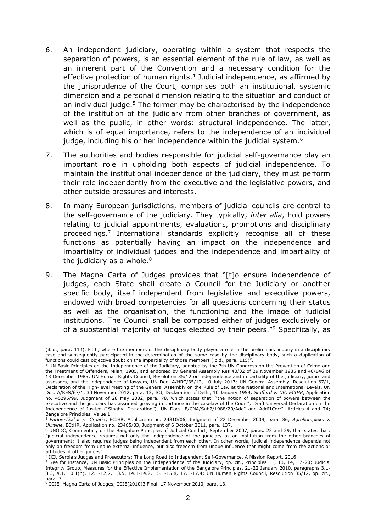- 6. An independent judiciary, operating within a system that respects the separation of powers, is an essential element of the rule of law, as well as an inherent part of the Convention and a necessary condition for the effective protection of human rights.<sup>4</sup> Judicial independence, as affirmed by the jurisprudence of the Court, comprises both an institutional, systemic dimension and a personal dimension relating to the situation and conduct of an individual judge.<sup>5</sup> The former may be characterised by the independence of the institution of the judiciary from other branches of government, as well as the public, in other words: structural independence. The latter, which is of equal importance, refers to the independence of an individual judge, including his or her independence within the judicial system.<sup>6</sup>
- 7. The authorities and bodies responsible for judicial self-governance play an important role in upholding both aspects of judicial independence. To maintain the institutional independence of the judiciary, they must perform their role independently from the executive and the legislative powers, and other outside pressures and interests.
- 8. In many European jurisdictions, members of judicial councils are central to the self-governance of the judiciary. They typically, *inter alia*, hold powers relating to judicial appointments, evaluations, promotions and disciplinary proceedings.<sup>7</sup> International standards explicitly recognise all of these functions as potentially having an impact on the independence and impartiality of individual judges and the independence and impartiality of the judiciary as a whole. $8$
- 9. The Magna Carta of Judges provides that "[t]o ensure independence of judges, each State shall create a Council for the Judiciary or another specific body, itself independent from legislative and executive powers, endowed with broad competencies for all questions concerning their status as well as the organisation, the functioning and the image of judicial institutions. The Council shall be composed either of judges exclusively or of a substantial majority of judges elected by their peers."<sup>9</sup> Specifically, as

<sup>(</sup>ibid., para. 114). Fifth, where the members of the disciplinary body played a role in the preliminary inquiry in a disciplinary case and subsequently participated in the determination of the same case by the disciplinary body, such a duplication of functions could cast objective doubt on the impartiality of those members (ibid., para. 115)".

<sup>&</sup>lt;sup>4</sup> UN Basic Principles on the Independence of the Judiciary, adopted by the 7th UN Congress on the Prevention of Crime and the Treatment of Offenders, Milan, 1985, and endorsed by General Assembly Res 40/32 of 29 November 1985 and 40/146 of 13 December 1985; UN Human Rights Council, Resolution 35/12 on independence and impartiality of the judiciary, jurors and assessors, and the independence of lawyers, UN Doc. A/HRC/35/12, 10 July 2017; UN General Assembly, Resolution 67/1, Declaration of the High-level Meeting of the General Assembly on the Rule of Law at the National and International Levels, UN Doc. A/RES/67/1, 30 November 2012, para. 13; ICJ, Declaration of Delhi, 10 January 1959; *Stafford v. UK, ECtHR*, Application no. 46295/99, Judgment of 28 May 2002, para. 78, which states that: "the notion of separation of powers between the executive and the judiciary has assumed growing importance in the caselaw of the Court"; Draft Universal Declaration on the Independence of Justice ("Singhvi Declaration"), UN Docs. E/CNA/Sub2/1988/20/AddI and AddIICorrI, Articles 4 and 74;

Bangalore Principles, Value 1. <sup>5</sup> *Parlov-Tkalcic v. Croatia*, ECtHR, Application no. 24810/06, Judgment of 22 December 2009, para. 86; *Agrokompleks v. Ukraine*, ECtHR, Application no. 23465/03, Judgment of 6 October 2011, para. 137.

<sup>6</sup> UNODC, Commentary on the Bangalore Principles of Judicial Conduct, September 2007, paras. 23 and 39, that states that: "judicial independence requires not only the independence of the judiciary as an institution from the other branches of government; it also requires judges being independent from each other. In other words, judicial independence depends not only on freedom from undue external influence, but also freedom from undue influence that might come from the actions or attitudes of other judges".

<sup>7</sup> ICJ, Serbia's Judges and Prosecutors: The Long Road to Independent Self-Governance, A Mission Report, 2016.

<sup>8</sup> See for instance, UN Basic Principles on the Independence of the Judiciary, op. cit., Principles 11, 13, 14, 17-20; Judicial Integrity Group, Measures for the Effective Implementation of the Bangalore Principles, 21-22 January 2010, paragraphs 3.1- 3.3, 4.1, 10.1(h), 12.1-12.7, 13.5, 14.1-14.2, 15.1-15.8, 17.1-17.4; UN Human Rights Council, Resolution 35/12, op. cit.,

para. 3.<br><sup>9</sup> CCJE, Magna Carta of Judges, CCJE(2010)3 Final, 17 November 2010, para. 13.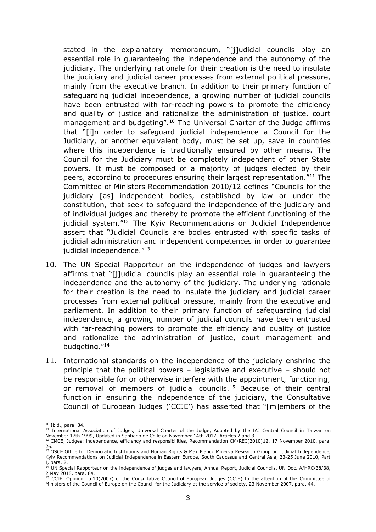stated in the explanatory memorandum, "[j]udicial councils play an essential role in guaranteeing the independence and the autonomy of the judiciary. The underlying rationale for their creation is the need to insulate the judiciary and judicial career processes from external political pressure, mainly from the executive branch. In addition to their primary function of safeguarding judicial independence, a growing number of judicial councils have been entrusted with far-reaching powers to promote the efficiency and quality of justice and rationalize the administration of justice, court management and budgeting".<sup>10</sup> The Universal Charter of the Judge affirms that "[i]n order to safeguard judicial independence a Council for the Judiciary, or another equivalent body, must be set up, save in countries where this independence is traditionally ensured by other means. The Council for the Judiciary must be completely independent of other State powers. It must be composed of a majority of judges elected by their peers, according to procedures ensuring their largest representation."<sup>11</sup> The Committee of Ministers Recommendation 2010/12 defines "Councils for the judiciary [as] independent bodies, established by law or under the constitution, that seek to safeguard the independence of the judiciary and of individual judges and thereby to promote the efficient functioning of the judicial system."<sup>12</sup> The Kyiv Recommendations on Judicial Independence assert that "Judicial Councils are bodies entrusted with specific tasks of judicial administration and independent competences in order to guarantee judicial independence."<sup>13</sup>

- 10. The UN Special Rapporteur on the independence of judges and lawyers affirms that "[j]udicial councils play an essential role in guaranteeing the independence and the autonomy of the judiciary. The underlying rationale for their creation is the need to insulate the judiciary and judicial career processes from external political pressure, mainly from the executive and parliament. In addition to their primary function of safeguarding judicial independence, a growing number of judicial councils have been entrusted with far-reaching powers to promote the efficiency and quality of justice and rationalize the administration of justice, court management and budgeting."<sup>14</sup>
- 11. International standards on the independence of the judiciary enshrine the principle that the political powers – legislative and executive – should not be responsible for or otherwise interfere with the appointment, functioning, or removal of members of judicial councils.<sup>15</sup> Because of their central function in ensuring the independence of the judiciary, the Consultative Council of European Judges ('CCJE') has asserted that "[m]embers of the

<sup>10</sup> Ibid., para. 84.

<sup>11</sup> International Association of Judges, Universal Charter of the Judge, Adopted by the IAJ Central Council in Taiwan on November 17th 1999, Updated in Santiago de Chile on November 14th 2017, Articles 2 and 3.

<sup>&</sup>lt;sup>12</sup> CMCE, Judges: independence, efficiency and responsibilities, Recommendation CM/REC(2010)12, 17 November 2010, para. 26.

<sup>&</sup>lt;sup>13</sup> OSCE Office for Democratic Institutions and Human Rights & Max Planck Minerva Research Group on Judicial Independence, Kyiv Recommendations on Judicial Independence in Eastern Europe, South Caucasus and Central Asia, 23-25 June 2010, Part I, para. 2.<br><sup>14</sup> UN Special Rapporteur on the independence of judges and lawyers, Annual Report, Judicial Councils, UN Doc. A/HRC/38/38,

<sup>2</sup> May 2018, para. 84.

<sup>&</sup>lt;sup>15</sup> CCJE, Opinion no.10(2007) of the Consultative Council of European Judges (CCJE) to the attention of the Committee of Ministers of the Council of Europe on the Council for the Judiciary at the service of society, 23 November 2007, para. 44.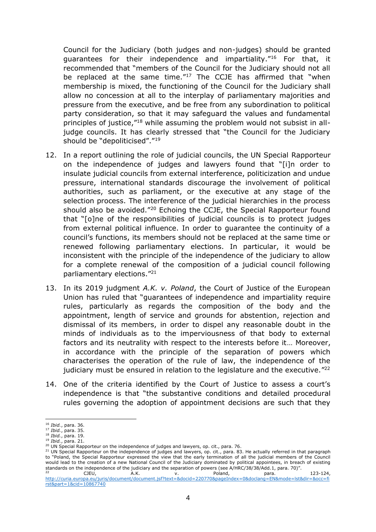Council for the Judiciary (both judges and non-judges) should be granted guarantees for their independence and impartiality."<sup>16</sup> For that, it recommended that "members of the Council for the Judiciary should not all be replaced at the same time."<sup>17</sup> The CCJE has affirmed that "when membership is mixed, the functioning of the Council for the Judiciary shall allow no concession at all to the interplay of parliamentary majorities and pressure from the executive, and be free from any subordination to political party consideration, so that it may safeguard the values and fundamental principles of justice,"<sup>18</sup> while assuming the problem would not subsist in alljudge councils. It has clearly stressed that "the Council for the Judiciary should be "depoliticised"."<sup>19</sup>

- 12. In a report outlining the role of judicial councils, the UN Special Rapporteur on the independence of judges and lawyers found that "[i]n order to insulate judicial councils from external interference, politicization and undue pressure, international standards discourage the involvement of political authorities, such as parliament, or the executive at any stage of the selection process. The interference of the judicial hierarchies in the process should also be avoided."<sup>20</sup> Echoing the CCJE, the Special Rapporteur found that "[o]ne of the responsibilities of judicial councils is to protect judges from external political influence. In order to guarantee the continuity of a council's functions, its members should not be replaced at the same time or renewed following parliamentary elections. In particular, it would be inconsistent with the principle of the independence of the judiciary to allow for a complete renewal of the composition of a judicial council following parliamentary elections."<sup>21</sup>
- 13. In its 2019 judgment *A.K. v. Poland*, the Court of Justice of the European Union has ruled that "guarantees of independence and impartiality require rules, particularly as regards the composition of the body and the appointment, length of service and grounds for abstention, rejection and dismissal of its members, in order to dispel any reasonable doubt in the minds of individuals as to the imperviousness of that body to external factors and its neutrality with respect to the interests before it… Moreover, in accordance with the principle of the separation of powers which characterises the operation of the rule of law, the independence of the judiciary must be ensured in relation to the legislature and the executive."<sup>22</sup>
- 14. One of the criteria identified by the Court of Justice to assess a court's independence is that "the substantive conditions and detailed procedural rules governing the adoption of appointment decisions are such that they

<sup>16</sup> *Ibid.*, para. 36.

<sup>17</sup> *Ibid.*, para. 35.

<sup>18</sup> *Ibid.*, para. 19.

<sup>19</sup> *Ibid.*, para. 21.

<sup>&</sup>lt;sup>20</sup> UN Special Rapporteur on the independence of judges and lawyers, op. cit., para. 76.

<sup>&</sup>lt;sup>21</sup> UN Special Rapporteur on the independence of judges and lawyers, op. cit., para. 83. He actually referred in that paragraph to "Poland, the Special Rapporteur expressed the view that the early termination of all the judicial members of the Council would lead to the creation of a new National Council of the Judiciary dominated by political appointees, in breach of existing standards on the independence of the judiciary and the separation of powers (see A/HRC/38/38/Add.1, para. 70)".<br>22<br>Poland, para. para.

 $22$  CJEU, A.K. v. Poland, para. 123-124, [http://curia.europa.eu/juris/document/document.jsf?text=&docid=220770&pageIndex=0&doclang=EN&mode=lst&dir=&occ=fi](http://curia.europa.eu/juris/document/document.jsf?text=&docid=220770&pageIndex=0&doclang=EN&mode=lst&dir=&occ=first&part=1&cid=10867740) [rst&part=1&cid=10867740](http://curia.europa.eu/juris/document/document.jsf?text=&docid=220770&pageIndex=0&doclang=EN&mode=lst&dir=&occ=first&part=1&cid=10867740)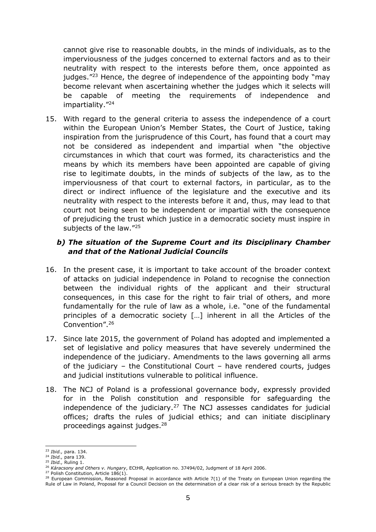cannot give rise to reasonable doubts, in the minds of individuals, as to the imperviousness of the judges concerned to external factors and as to their neutrality with respect to the interests before them, once appointed as judges."<sup>23</sup> Hence, the degree of independence of the appointing body "may become relevant when ascertaining whether the judges which it selects will be capable of meeting the requirements of independence and impartiality."<sup>24</sup>

15. With regard to the general criteria to assess the independence of a court within the European Union's Member States, the Court of Justice, taking inspiration from the jurisprudence of this Court, has found that a court may not be considered as independent and impartial when "the objective circumstances in which that court was formed, its characteristics and the means by which its members have been appointed are capable of giving rise to legitimate doubts, in the minds of subjects of the law, as to the imperviousness of that court to external factors, in particular, as to the direct or indirect influence of the legislature and the executive and its neutrality with respect to the interests before it and, thus, may lead to that court not being seen to be independent or impartial with the consequence of prejudicing the trust which justice in a democratic society must inspire in subjects of the law."<sup>25</sup>

## *b) The situation of the Supreme Court and its Disciplinary Chamber and that of the National Judicial Councils*

- 16. In the present case, it is important to take account of the broader context of attacks on judicial independence in Poland to recognise the connection between the individual rights of the applicant and their structural consequences, in this case for the right to fair trial of others, and more fundamentally for the rule of law as a whole, i.e. "one of the fundamental principles of a democratic society […] inherent in all the Articles of the Convention".<sup>26</sup>
- 17. Since late 2015, the government of Poland has adopted and implemented a set of legislative and policy measures that have severely undermined the independence of the judiciary. Amendments to the laws governing all arms of the judiciary – the Constitutional Court – have rendered courts, judges and judicial institutions vulnerable to political influence.
- 18. The NCJ of Poland is a professional governance body, expressly provided for in the Polish constitution and responsible for safeguarding the independence of the judiciary. $27$  The NCJ assesses candidates for judicial offices; drafts the rules of judicial ethics; and can initiate disciplinary proceedings against judges.<sup>28</sup>

<sup>23</sup> *Ibid.,* para. 134.

<sup>24</sup> *Ibid.,* para 139. <sup>25</sup> *Ibid.,* Ruling 1.

<sup>26</sup> *Káracsony and Others v. Hungary*, ECtHR, Application no. 37494/02, Judgment of 18 April 2006.

<sup>&</sup>lt;sup>27</sup> Polish Constitution, Article 186(1).

 $28$  European Commission, Reasoned Proposal in accordance with Article 7(1) of the Treaty on European Union regarding the Rule of Law in Poland, Proposal for a Council Decision on the determination of a clear risk of a serious breach by the Republic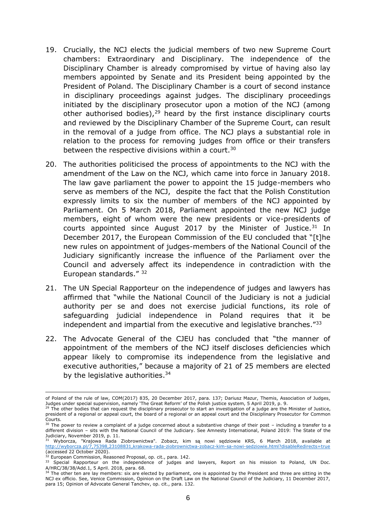- 19. Crucially, the NCJ elects the judicial members of two new Supreme Court chambers: Extraordinary and Disciplinary. The independence of the Disciplinary Chamber is already compromised by virtue of having also lay members appointed by Senate and its President being appointed by the President of Poland. The Disciplinary Chamber is a court of second instance in disciplinary proceedings against judges. The disciplinary proceedings initiated by the disciplinary prosecutor upon a motion of the NCJ (among other authorised bodies), $29$  heard by the first instance disciplinary courts and reviewed by the Disciplinary Chamber of the Supreme Court, can result in the removal of a judge from office. The NCJ plays a substantial role in relation to the process for removing judges from office or their transfers between the respective divisions within a court.<sup>30</sup>
- 20. The authorities politicised the process of appointments to the NCJ with the amendment of the Law on the NCJ, which came into force in January 2018. The law gave parliament the power to appoint the 15 judge-members who serve as members of the NCJ, despite the fact that the Polish Constitution expressly limits to six the number of members of the NCJ appointed by Parliament. On 5 March 2018, Parliament appointed the new NCJ judge members, eight of whom were the new presidents or vice-presidents of courts appointed since August 2017 by the Minister of Justice.<sup>31</sup> In December 2017, the European Commission of the EU concluded that "[t]he new rules on appointment of judges-members of the National Council of the Judiciary significantly increase the influence of the Parliament over the Council and adversely affect its independence in contradiction with the European standards." <sup>32</sup>
- 21. The UN Special Rapporteur on the independence of judges and lawyers has affirmed that "while the National Council of the Judiciary is not a judicial authority per se and does not exercise judicial functions, its role of safeguarding judicial independence in Poland requires that it be independent and impartial from the executive and legislative branches."<sup>33</sup>
- 22. The Advocate General of the CJEU has concluded that "the manner of appointment of the members of the NCJ itself discloses deficiencies which appear likely to compromise its independence from the legislative and executive authorities," because a majority of 21 of 25 members are elected by the legislative authorities.  $34$

of Poland of the rule of law, COM(2017) 835, 20 December 2017, para. 137; Dariusz Mazur, Themis, Association of Judges, Judges under special supervision, namely 'The Great Reform' of the Polish justice system, 5 April 2019, p. 9.

<sup>&</sup>lt;sup>29</sup> The other bodies that can request the disciplinary prosecutor to start an investigation of a judge are the Minister of Justice, president of a regional or appeal court, the board of a regional or an appeal court and the Disciplinary Prosecutor for Common Courts.<br><sup>30</sup> The power to review a complaint of a judge concerned about a substantive change of their post – including a transfer to a

different division – sits with the National Council of the Judiciary. See Amnesty International, Poland 2019: The State of the Judiciary, November 2019, p. 11.

<sup>31</sup> Wyborcza, "Krajowa Rada Ziobrownictwa". Zobacz, kim są nowi sędziowie KRS, 6 March 2018, available at [http://wyborcza.pl/7,75398,23108831,krakowa-rada-ziobrownictwa-zobacz-kim-sa-nowi-sedziowie.html?disableRedirects=true](http://wyborcza.pl/7,75398,23108831,krakowa-rada-ziobrownictwa-zobacz-kim-sa-nowi-sedziowie.html?disableRedirects=true%20) (accessed 22 October 2020). <sup>32</sup> European Commission, Reasoned Proposal, op. cit., para. 142.

<sup>33</sup> Special Rapporteur on the independence of judges and lawyers, Report on his mission to Poland, UN Doc. A/HRC/38/38/Add.1, 5 April. 2018, para. 68.

<sup>&</sup>lt;sup>34</sup> The other ten are lay members: six are elected by parliament, one is appointed by the President and three are sitting in the NCJ ex officio. See, Venice Commission, Opinion on the Draft Law on the National Council of the Judiciary, 11 December 2017, para 15; Opinion of Advocate General Tanchev, op. cit., para. 132.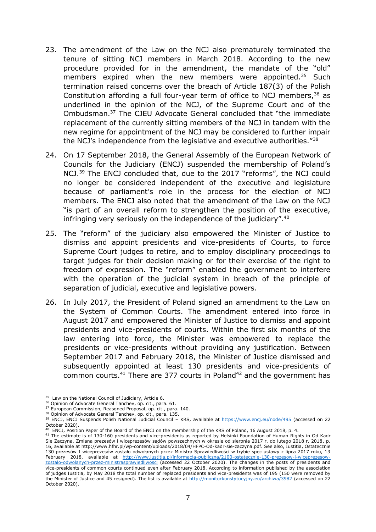- 23. The amendment of the Law on the NCJ also prematurely terminated the tenure of sitting NCJ members in March 2018. According to the new procedure provided for in the amendment, the mandate of the "old" members expired when the new members were appointed.<sup>35</sup> Such termination raised concerns over the breach of Article 187(3) of the Polish Constitution affording a full four-year term of office to NCJ members,  $36$  as underlined in the opinion of the NCJ, of the Supreme Court and of the Ombudsman.<sup>37</sup> The CJEU Advocate General concluded that "the immediate replacement of the currently sitting members of the NCJ in tandem with the new regime for appointment of the NCJ may be considered to further impair the NCJ's independence from the legislative and executive authorities."<sup>38</sup>
- 24. On 17 September 2018, the General Assembly of the European Network of Councils for the Judiciary (ENCJ) suspended the membership of Poland's NCJ.<sup>39</sup> The ENCJ concluded that, due to the 2017 "reforms", the NCJ could no longer be considered independent of the executive and legislature because of parliament's role in the process for the election of NCJ members. The ENCJ also noted that the amendment of the Law on the NCJ "is part of an overall reform to strengthen the position of the executive, infringing very seriously on the independence of the judiciary".<sup>40</sup>
- 25. The "reform" of the judiciary also empowered the Minister of Justice to dismiss and appoint presidents and vice-presidents of Courts, to force Supreme Court judges to retire, and to employ disciplinary proceedings to target judges for their decision making or for their exercise of the right to freedom of expression. The "reform" enabled the government to interfere with the operation of the judicial system in breach of the principle of separation of judicial, executive and legislative powers.
- 26. In July 2017, the President of Poland signed an amendment to the Law on the System of Common Courts. The amendment entered into force in August 2017 and empowered the Minister of Justice to dismiss and appoint presidents and vice-presidents of courts. Within the first six months of the law entering into force, the Minister was empowered to replace the presidents or vice-presidents without providing any justification. Between September 2017 and February 2018, the Minister of Justice dismissed and subsequently appointed at least 130 presidents and vice-presidents of common courts.<sup>41</sup> There are 377 courts in Poland<sup>42</sup> and the government has

<sup>&</sup>lt;sup>35</sup> Law on the National Council of Judiciary, Article 6.

<sup>36</sup> Opinion of Advocate General Tanchev, op. cit., para. 61.

<sup>&</sup>lt;sup>37</sup> European Commission, Reasoned Proposal, op. cit., para. 140.

<sup>&</sup>lt;sup>38</sup> Opinion of Advocate General Tanchev, op. cit., para. 135.

<sup>&</sup>lt;sup>39</sup> ENCJ, ENCJ Suspends Polish National Judicial Council – KRS, available at <https://www.encj.eu/node/495> (accessed on 22 October 2020).

<sup>40</sup> ENCJ, Position Paper of the Board of the ENCJ on the membership of the KRS of Poland, 16 August 2018, p. 4.

<sup>41</sup> The estimate is of 130-160 presidents and vice-presidents as reported by Helsinki Foundation of Human Rights in Od Kadr Sie Zaczyna, Zmiana prezesów i wiceprezesów sądów powszechnych w okresie od sierpnia 2017 r. do lutego 2018 r. 2018, p. 16, available at http://www.hfhr.pl/wp-content/uploads/2018/04/HFPC-Od-kadr-sie-zaczyna.pdf. See also, Iustitia, Ostatecznie 130 prezesów I wiceprezesów zostało odwołanych przez Ministra Sprawiedliwości w trybie spec ustawy z lipca 2017 roku, 13 February 2018, available at [http://www.iustitia.pl/informacja-publiczna/2100-ostatecznie-130-prezesow-i-wiceprezesow](http://www.iustitia.pl/informacja-publiczna/2100-ostatecznie-130-prezesow-i-wiceprezesow-zostalo-odwolanych-przez-ministrasprawiedliwosci)[zostalo-odwolanych-przez-ministrasprawiedliwosci](http://www.iustitia.pl/informacja-publiczna/2100-ostatecznie-130-prezesow-i-wiceprezesow-zostalo-odwolanych-przez-ministrasprawiedliwosci) (accessed 22 October 2020). The changes in the posts of presidents and vice-presidents of common courts continued even after February 2018. According to information published by the association of judges Iustitia, by May 2018 the total number of replaced presidents and vice-presidents was of 195 (150 were removed by the Minister of Justice and 45 resigned). The list is available at <http://monitorkonstytucyjny.eu/archiwa/3982> (accessed on 22 October 2020).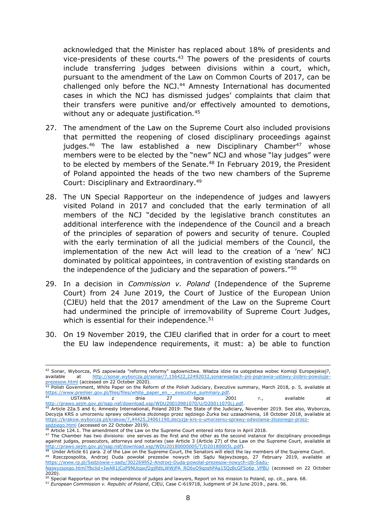acknowledged that the Minister has replaced about 18% of presidents and vice-presidents of these courts.<sup>43</sup> The powers of the presidents of courts include transferring judges between divisions within a court, which, pursuant to the amendment of the Law on Common Courts of 2017, can be challenged only before the NCJ.<sup>44</sup> Amnesty International has documented cases in which the NCJ has dismissed judges' complaints that claim that their transfers were punitive and/or effectively amounted to demotions, without any or adequate justification.<sup>45</sup>

- 27. The amendment of the Law on the Supreme Court also included provisions that permitted the reopening of closed disciplinary proceedings against judges.<sup>46</sup> The law established a new Disciplinary Chamber<sup>47</sup> whose members were to be elected by the "new" NCJ and whose "lay judges" were to be elected by members of the Senate.<sup>48</sup> In February 2019, the President of Poland appointed the heads of the two new chambers of the Supreme Court: Disciplinary and Extraordinary.<sup>49</sup>
- 28. The UN Special Rapporteur on the independence of judges and lawyers visited Poland in 2017 and concluded that the early termination of all members of the NCJ "decided by the legislative branch constitutes an additional interference with the independence of the Council and a breach of the principles of separation of powers and security of tenure. Coupled with the early termination of all the judicial members of the Council, the implementation of the new Act will lead to the creation of a 'new' NCJ dominated by political appointees, in contravention of existing standards on the independence of the judiciary and the separation of powers."<sup>50</sup>
- 29. In a decision in *Commission v. Poland* (Independence of the Supreme Court) from 24 June 2019, the Court of Justice of the European Union (CJEU) held that the 2017 amendment of the Law on the Supreme Court had undermined the principle of irremovability of Supreme Court Judges, which is essential for their independence. $51$
- 30. On 19 November 2019, the CJEU clarified that in order for a court to meet the EU law independence requirements, it must: a) be able to function

<sup>42</sup> Sonar, Wyborcza, PiS zapowiada "reformę reformy" sądownictwa. Władza idzie na ustępstwa wobec Komisji Europejskiej?, available at [http://sonar.wyborcza.pl/sonar/7,156422,22492032,sonarwsadach-pis-poprawia-ustawy-ziobro-powoluje-](http://sonar.wyborcza.pl/sonar/7,156422,22492032,sonarwsadach-pis-poprawia-ustawy-ziobro-powoluje-prezesow.html)

[prezesow.html](http://sonar.wyborcza.pl/sonar/7,156422,22492032,sonarwsadach-pis-poprawia-ustawy-ziobro-powoluje-prezesow.html) (accessed on 22 October 2020).<br><sup>43</sup> Polish Government, White Paper on the Reform of the Polish Judiciary, Executive summary, March 2018, p. 5, available at https://www.premier.gov.pl/files/files/white\_paper\_en\_-\_executive\_summary.pdf<br>44 USTAWA 7 2

<sup>44</sup> USTAWA z dnia 27 lipca 2001 r., available at <u>http://prawo.sejm.gov.pl/isap.nsf/download.xsp/WDU20010981070/U/D20011070Lj.pdf</u>.<br><sup>45</sup> Article 22a.5 and 6; Amnesty International, Poland 2019: The State of the Judiciary, November 2019. See also, Wyborcza,

Decyzja KRS o umorzeniu sprawy odwołania złożonego przez sędziego Żurka bez uzasadnienia, 18 October 2018, available at [https://krakow.wyborcza.pl/krakow/7,44425,24061190,decyzja-krs-o-umorzeniu-sprawy-odwolania-zlozonego-przez-](https://krakow.wyborcza.pl/krakow/7,44425,24061190,decyzja-krs-o-umorzeniu-sprawy-odwolania-zlozonego-przez-sedziego.html)

<sup>&</sup>lt;u>[sedziego.html](https://krakow.wyborcza.pl/krakow/7,44425,24061190,decyzja-krs-o-umorzeniu-sprawy-odwolania-zlozonego-przez-sedziego.html)</u> (accessed on 22 October 2019).<br><sup>46</sup> Article 124.1. The amendment of the Law on the Supreme Court entered into force in April 2018.

<sup>47</sup> The Chamber has two divisions: one serves as the first and the other as the second instance for disciplinary proceedings against judges, prosecutors, attorneys and notaries (see Article 3 (Article 27) of the Law on the Supreme Court, available at [http://prawo.sejm.gov.pl/isap.nsf/download.xsp/WDU20180000005/T/D20180005L.pdf\)](http://prawo.sejm.gov.pl/isap.nsf/download.xsp/WDU20180000005/T/D20180005L.pdf).

<sup>&</sup>lt;sup>48</sup> Under Article 61 para. 2 of the Law on the Supreme Court, the Senators will elect the lay members of the Supreme Court. <sup>49</sup> Rzeczpospolita, Andrzej Duda powołał prezesów nowych izb Sądu Najwyższego, 27 February 2019, available at

[https://www.rp.pl/Sedziowie-i-sady/302269952-Andrzej-Duda-powolal-prezesow-nowych-izb-Sadu-](https://www.rp.pl/Sedziowie-i-sady/302269952-Andrzej-Duda-powolal-prezesow-nowych-izb-Sadu-Najwyzszego.html?fbclid=IwAR1jCoP9NUtqscf2gjlfdtLWWjPA_RO6yO9qoshPAa15Qz8cGFSo6p_VPBU)[Najwyzszego.html?fbclid=IwAR1jCoP9NUtqscf2gjlfdtLWWjPA\\_RO6yO9qoshPAa15Qz8cGFSo6p\\_VPBU](https://www.rp.pl/Sedziowie-i-sady/302269952-Andrzej-Duda-powolal-prezesow-nowych-izb-Sadu-Najwyzszego.html?fbclid=IwAR1jCoP9NUtqscf2gjlfdtLWWjPA_RO6yO9qoshPAa15Qz8cGFSo6p_VPBU) (accessed on 22 October 2020).

 $50$  Special Rapporteur on the independence of judges and lawyers, Report on his mission to Poland, op. cit., para. 68.

<sup>51</sup> *European Commission v. Republic of Poland*, CJEU, Case C-619718, Judgment of 24 June 2019., para. 96.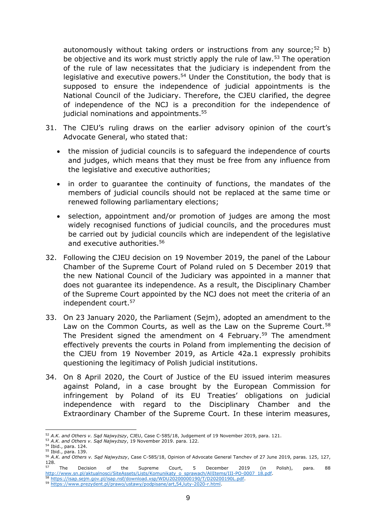autonomously without taking orders or instructions from any source; $52$  b) be objective and its work must strictly apply the rule of law.<sup>53</sup> The operation of the rule of law necessitates that the judiciary is independent from the legislative and executive powers.<sup>54</sup> Under the Constitution, the body that is supposed to ensure the independence of judicial appointments is the National Council of the Judiciary. Therefore, the CJEU clarified, the degree of independence of the NCJ is a precondition for the independence of judicial nominations and appointments.<sup>55</sup>

- 31. The CJEU's ruling draws on the earlier advisory opinion of the court's Advocate General, who stated that:
	- the mission of judicial councils is to safeguard the independence of courts and judges, which means that they must be free from any influence from the legislative and executive authorities;
	- in order to quarantee the continuity of functions, the mandates of the members of judicial councils should not be replaced at the same time or renewed following parliamentary elections;
	- selection, appointment and/or promotion of judges are among the most widely recognised functions of judicial councils, and the procedures must be carried out by judicial councils which are independent of the legislative and executive authorities.<sup>56</sup>
- 32. Following the CJEU decision on 19 November 2019, the panel of the Labour Chamber of the Supreme Court of Poland ruled on 5 December 2019 that the new National Council of the Judiciary was appointed in a manner that does not guarantee its independence. As a result, the Disciplinary Chamber of the Supreme Court appointed by the NCJ does not meet the criteria of an independent court.<sup>57</sup>
- 33. On 23 January 2020, the Parliament (Sejm), adopted an amendment to the Law on the Common Courts, as well as the Law on the Supreme Court.<sup>58</sup> The President signed the amendment on 4 February.<sup>59</sup> The amendment effectively prevents the courts in Poland from implementing the decision of the CJEU from 19 November 2019, as Article 42a.1 expressly prohibits questioning the legitimacy of Polish judicial institutions.
- 34. On 8 April 2020, the Court of Justice of the EU issued interim measures against Poland, in a case brought by the European Commission for infringement by Poland of its EU Treaties' obligations on judicial independence with regard to the Disciplinary Chamber and the Extraordinary Chamber of the Supreme Court. In these interim measures,

<sup>52</sup> *A.K. and Others v. Sąd Najwyższy*, CJEU, Case C-585/18, Judgement of 19 November 2019, para. 121.

<sup>53</sup> *A.K. and Others v. Sąd Najwyższy*, 19 November 2019. para. 122.

<sup>54</sup> Ibid., para. 124.

<sup>55</sup> Ibid., para. 139.

<sup>56</sup> *A.K. and Others v. Sąd Najwyższy*, Case C-585/18, Opinion of Advocate General Tanchev of 27 June 2019, paras. 125, 127, 128.

<sup>&</sup>lt;sup>57</sup> The Decision of the Supreme Court, 5 December 2019 (in Polish), para. 88 [http://www.sn.pl/aktualnosci/SiteAssets/Lists/Komunikaty\\_o\\_sprawach/AllItems/III-PO-0007\\_18.pdf.](http://www.sn.pl/aktualnosci/SiteAssets/Lists/Komunikaty_o_sprawach/AllItems/III-PO-0007_18.pdf) <sup>58</sup> [https://isap.sejm.gov.pl/isap.nsf/download.xsp/WDU20200000190/T/D20200190L.pdf.](https://isap.sejm.gov.pl/isap.nsf/download.xsp/WDU20200000190/T/D20200190L.pdf)

<sup>59</sup> [https://www.prezydent.pl/prawo/ustawy/podpisane/art,54,luty-2020-r.html.](https://www.prezydent.pl/prawo/ustawy/podpisane/art,54,luty-2020-r.html)